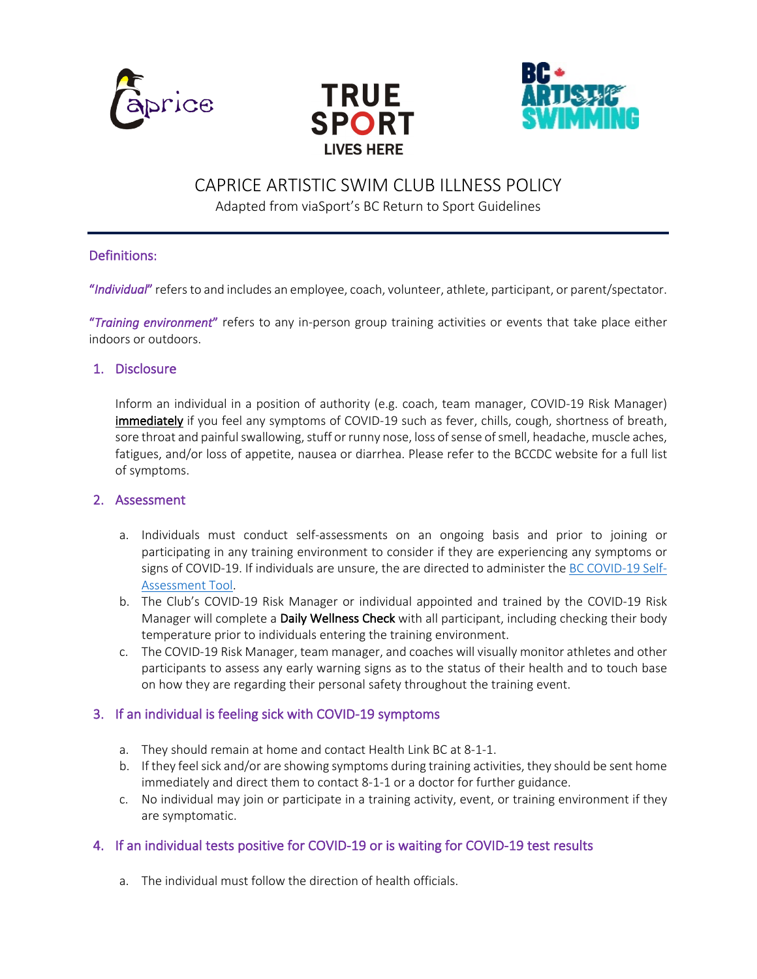





# CAPRICE ARTISTIC SWIM CLUB ILLNESS POLICY

Adapted from viaSport's BC Return to Sport Guidelines

# Definitions:

"*Individual*" refers to and includes an employee, coach, volunteer, athlete, participant, or parent/spectator.

"*Training environment*" refers to any in-person group training activities or events that take place either indoors or outdoors.

#### 1. Disclosure

Inform an individual in a position of authority (e.g. coach, team manager, COVID-19 Risk Manager) immediately if you feel any symptoms of COVID-19 such as fever, chills, cough, shortness of breath, sore throat and painful swallowing, stuff or runny nose, loss of sense of smell, headache, muscle aches, fatigues, and/or loss of appetite, nausea or diarrhea. Please refer to the BCCDC website for a full list of symptoms.

#### 2. Assessment

- a. Individuals must conduct self-assessments on an ongoing basis and prior to joining or participating in any training environment to consider if they are experiencing any symptoms or signs of COVID-19. If individuals are unsure, the are directed to administer the BC COVID-19 Self-Assessment Tool.
- b. The Club's COVID-19 Risk Manager or individual appointed and trained by the COVID-19 Risk Manager will complete a Daily Wellness Check with all participant, including checking their body temperature prior to individuals entering the training environment.
- c. The COVID-19 Risk Manager, team manager, and coaches will visually monitor athletes and other participants to assess any early warning signs as to the status of their health and to touch base on how they are regarding their personal safety throughout the training event.

## 3. If an individual is feeling sick with COVID-19 symptoms

- a. They should remain at home and contact Health Link BC at 8-1-1.
- b. If they feel sick and/or are showing symptoms during training activities, they should be sent home immediately and direct them to contact 8-1-1 or a doctor for further guidance.
- c. No individual may join or participate in a training activity, event, or training environment if they are symptomatic.

## 4. If an individual tests positive for COVID-19 or is waiting for COVID-19 test results

a. The individual must follow the direction of health officials.